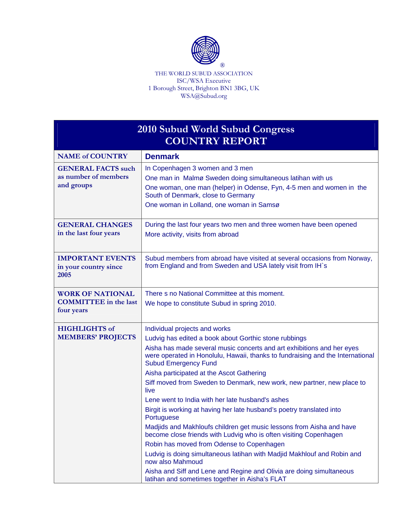

THE WORLD SUBUD ASSOCIATION ISC/WSA Executive 1 Borough Street, Brighton BN1 3BG, UK WSA@Subud.org

| 2010 Subud World Subud Congress<br><b>COUNTRY REPORT</b>              |                                                                                                                                                                                                                                                                                                                                                                                                                                                                                                                                                                                                                                                                                                                                                                                                                                                                                                                                                                                |
|-----------------------------------------------------------------------|--------------------------------------------------------------------------------------------------------------------------------------------------------------------------------------------------------------------------------------------------------------------------------------------------------------------------------------------------------------------------------------------------------------------------------------------------------------------------------------------------------------------------------------------------------------------------------------------------------------------------------------------------------------------------------------------------------------------------------------------------------------------------------------------------------------------------------------------------------------------------------------------------------------------------------------------------------------------------------|
| <b>NAME of COUNTRY</b>                                                | <b>Denmark</b>                                                                                                                                                                                                                                                                                                                                                                                                                                                                                                                                                                                                                                                                                                                                                                                                                                                                                                                                                                 |
| <b>GENERAL FACTS such</b><br>as number of members<br>and groups       | In Copenhagen 3 women and 3 men<br>One man in Malmø Sweden doing simultaneous latihan with us<br>One woman, one man (helper) in Odense, Fyn, 4-5 men and women in the<br>South of Denmark, close to Germany<br>One woman in Lolland, one woman in Samsø                                                                                                                                                                                                                                                                                                                                                                                                                                                                                                                                                                                                                                                                                                                        |
| <b>GENERAL CHANGES</b><br>in the last four years                      | During the last four years two men and three women have been opened<br>More activity, visits from abroad                                                                                                                                                                                                                                                                                                                                                                                                                                                                                                                                                                                                                                                                                                                                                                                                                                                                       |
| <b>IMPORTANT EVENTS</b><br>in your country since<br>2005              | Subud members from abroad have visited at several occasions from Norway,<br>from England and from Sweden and USA lately visit from IH's                                                                                                                                                                                                                                                                                                                                                                                                                                                                                                                                                                                                                                                                                                                                                                                                                                        |
| <b>WORK OF NATIONAL</b><br><b>COMMITTEE</b> in the last<br>four years | There s no National Committee at this moment.<br>We hope to constitute Subud in spring 2010.                                                                                                                                                                                                                                                                                                                                                                                                                                                                                                                                                                                                                                                                                                                                                                                                                                                                                   |
| <b>HIGHLIGHTS of</b><br><b>MEMBERS' PROJECTS</b>                      | Individual projects and works<br>Ludvig has edited a book about Gorthic stone rubbings<br>Aisha has made several music concerts and art exhibitions and her eyes<br>were operated in Honolulu, Hawaii, thanks to fundraising and the International<br><b>Subud Emergency Fund</b><br>Aisha participated at the Ascot Gathering<br>Siff moved from Sweden to Denmark, new work, new partner, new place to<br>live<br>Lene went to India with her late husband's ashes<br>Birgit is working at having her late husband's poetry translated into<br>Portuguese<br>Madjids and Makhloufs children get music lessons from Aisha and have<br>become close friends with Ludvig who is often visiting Copenhagen<br>Robin has moved from Odense to Copenhagen<br>Ludvig is doing simultaneous latihan with Madjid Makhlouf and Robin and<br>now also Mahmoud<br>Aisha and Siff and Lene and Regine and Olivia are doing simultaneous<br>latihan and sometimes together in Aisha's FLAT |